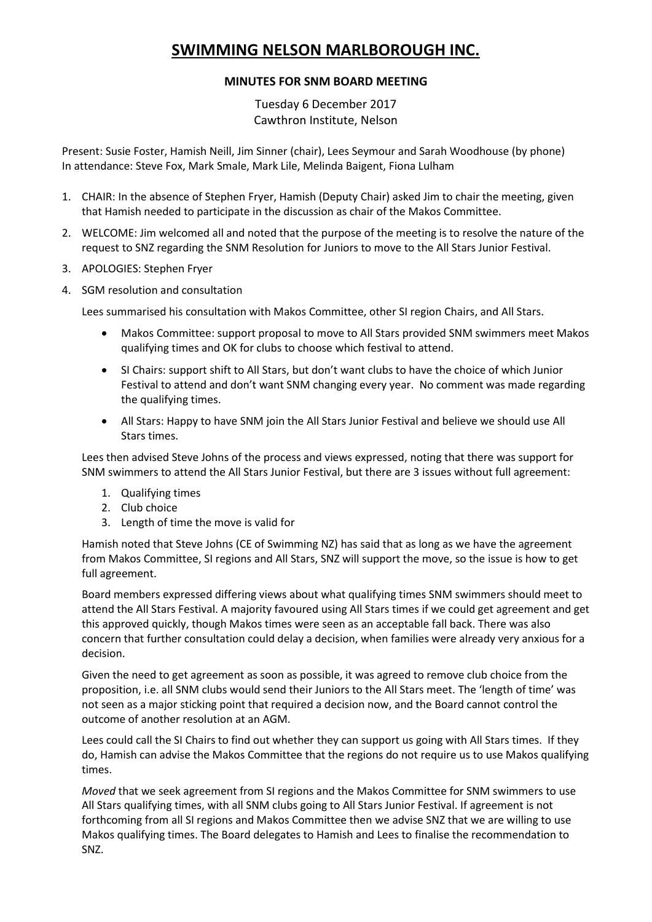## **SWIMMING NELSON MARLBOROUGH INC.**

## **MINUTES FOR SNM BOARD MEETING**

Tuesday 6 December 2017 Cawthron Institute, Nelson

Present: Susie Foster, Hamish Neill, Jim Sinner (chair), Lees Seymour and Sarah Woodhouse (by phone) In attendance: Steve Fox, Mark Smale, Mark Lile, Melinda Baigent, Fiona Lulham

- 1. CHAIR: In the absence of Stephen Fryer, Hamish (Deputy Chair) asked Jim to chair the meeting, given that Hamish needed to participate in the discussion as chair of the Makos Committee.
- 2. WELCOME: Jim welcomed all and noted that the purpose of the meeting is to resolve the nature of the request to SNZ regarding the SNM Resolution for Juniors to move to the All Stars Junior Festival.
- 3. APOLOGIES: Stephen Fryer
- 4. SGM resolution and consultation

Lees summarised his consultation with Makos Committee, other SI region Chairs, and All Stars.

- Makos Committee: support proposal to move to All Stars provided SNM swimmers meet Makos qualifying times and OK for clubs to choose which festival to attend.
- SI Chairs: support shift to All Stars, but don't want clubs to have the choice of which Junior Festival to attend and don't want SNM changing every year. No comment was made regarding the qualifying times.
- All Stars: Happy to have SNM join the All Stars Junior Festival and believe we should use All Stars times.

Lees then advised Steve Johns of the process and views expressed, noting that there was support for SNM swimmers to attend the All Stars Junior Festival, but there are 3 issues without full agreement:

- 1. Qualifying times
- 2. Club choice
- 3. Length of time the move is valid for

Hamish noted that Steve Johns (CE of Swimming NZ) has said that as long as we have the agreement from Makos Committee, SI regions and All Stars, SNZ will support the move, so the issue is how to get full agreement.

Board members expressed differing views about what qualifying times SNM swimmers should meet to attend the All Stars Festival. A majority favoured using All Stars times if we could get agreement and get this approved quickly, though Makos times were seen as an acceptable fall back. There was also concern that further consultation could delay a decision, when families were already very anxious for a decision.

Given the need to get agreement as soon as possible, it was agreed to remove club choice from the proposition, i.e. all SNM clubs would send their Juniors to the All Stars meet. The 'length of time' was not seen as a major sticking point that required a decision now, and the Board cannot control the outcome of another resolution at an AGM.

Lees could call the SI Chairs to find out whether they can support us going with All Stars times. If they do, Hamish can advise the Makos Committee that the regions do not require us to use Makos qualifying times.

*Moved* that we seek agreement from SI regions and the Makos Committee for SNM swimmers to use All Stars qualifying times, with all SNM clubs going to All Stars Junior Festival. If agreement is not forthcoming from all SI regions and Makos Committee then we advise SNZ that we are willing to use Makos qualifying times. The Board delegates to Hamish and Lees to finalise the recommendation to SNZ.